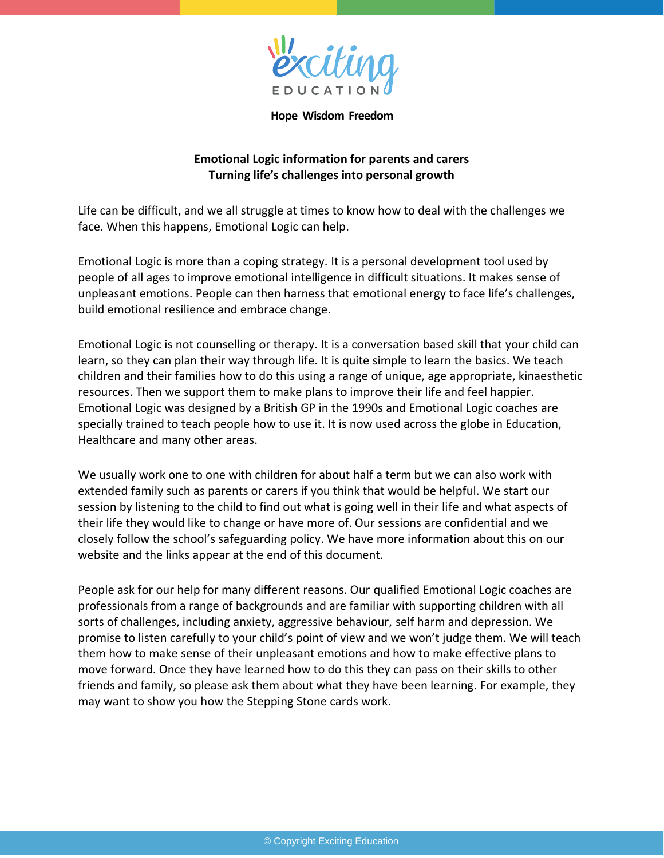

**Hope Wisdom Freedom**

## **Emotional Logic information for parents and carers Turning life's challenges into personal growth**

Life can be difficult, and we all struggle at times to know how to deal with the challenges we face. When this happens, Emotional Logic can help.

Emotional Logic is more than a coping strategy. It is a personal development tool used by people of all ages to improve emotional intelligence in difficult situations. It makes sense of unpleasant emotions. People can then harness that emotional energy to face life's challenges, build emotional resilience and embrace change.

Emotional Logic is not counselling or therapy. It is a conversation based skill that your child can learn, so they can plan their way through life. It is quite simple to learn the basics. We teach children and their families how to do this using a range of unique, age appropriate, kinaesthetic resources. Then we support them to make plans to improve their life and feel happier. Emotional Logic was designed by a British GP in the 1990s and Emotional Logic coaches are specially trained to teach people how to use it. It is now used across the globe in Education, Healthcare and many other areas.

We usually work one to one with children for about half a term but we can also work with extended family such as parents or carers if you think that would be helpful. We start our session by listening to the child to find out what is going well in their life and what aspects of their life they would like to change or have more of. Our sessions are confidential and we closely follow the school's safeguarding policy. We have more information about this on our website and the links appear at the end of this document.

People ask for our help for many different reasons. Our qualified Emotional Logic coaches are professionals from a range of backgrounds and are familiar with supporting children with all sorts of challenges, including anxiety, aggressive behaviour, self harm and depression. We promise to listen carefully to your child's point of view and we won't judge them. We will teach them how to make sense of their unpleasant emotions and how to make effective plans to move forward. Once they have learned how to do this they can pass on their skills to other friends and family, so please ask them about what they have been learning. For example, they may want to show you how the Stepping Stone cards work.